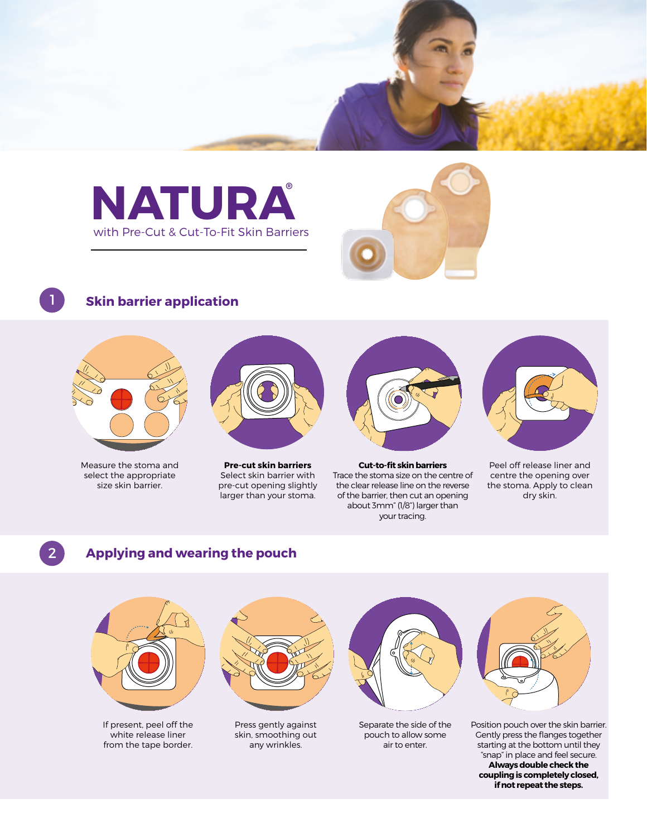



## **Skin barrier application**



Measure the stoma and select the appropriate size skin barrier.



**Pre-cut skin barriers** Select skin barrier with pre-cut opening slightly larger than your stoma.



**Cut-to-fit skin barriers** Trace the stoma size on the centre of the clear release line on the reverse of the barrier, then cut an opening about 3mm" (1/8") larger than your tracing.



Peel off release liner and centre the opening over the stoma. Apply to clean dry skin.

# 2

#### **Applying and wearing the pouch**



"snap" in place and feel secure. **Always double check the coupling is completely closed, if not repeat the steps.**